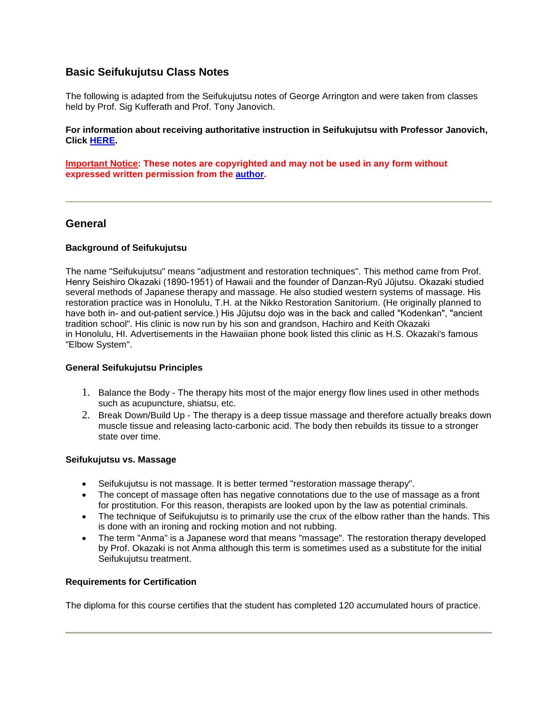# **Basic Seifukujutsu Class Notes**

The following is adapted from the Seifukujutsu notes of George Arrington and were taken from classes held by Prof. Sig Kufferath and Prof. Tony Janovich.

### **For information about receiving authoritative instruction in Seifukujutsu with Professor Janovich, Click [HERE](http://www.kodenkan.com/).**

**Important Notice: These notes are copyrighted and may not be used in any form without expressed written permission from the [author.](mailto:DanzanRyu@Yahoo.com)**

# **General**

### **Background of Seifukujutsu**

The name "Seifukujutsu" means "adjustment and restoration techniques". This method came from Prof. Henry Seishiro Okazaki (1890-1951) of Hawaii and the founder of Danzan-Ryū Jūjutsu. Okazaki studied several methods of Japanese therapy and massage. He also studied western systems of massage. His restoration practice was in Honolulu, T.H. at the Nikko Restoration Sanitorium. (He originally planned to have both in- and out-patient service.) His Jūjutsu dojo was in the back and called "Kodenkan", "ancient tradition school". His clinic is now run by his son and grandson, Hachiro and Keith Okazaki in Honolulu, HI. Advertisements in the Hawaiian phone book listed this clinic as H.S. Okazaki's famous "Elbow System".

### **General Seifukujutsu Principles**

- 1. Balance the Body The therapy hits most of the major energy flow lines used in other methods such as acupuncture, shiatsu, etc.
- 2. Break Down/Build Up The therapy is a deep tissue massage and therefore actually breaks down muscle tissue and releasing lacto-carbonic acid. The body then rebuilds its tissue to a stronger state over time.

### **Seifukujutsu vs. Massage**

- Seifukujutsu is not massage. It is better termed "restoration massage therapy".
- The concept of massage often has negative connotations due to the use of massage as a front for prostitution. For this reason, therapists are looked upon by the law as potential criminals.
- The technique of Seifukujutsu is to primarily use the crux of the elbow rather than the hands. This is done with an ironing and rocking motion and not rubbing.
- The term "Anma" is a Japanese word that means "massage". The restoration therapy developed by Prof. Okazaki is not Anma although this term is sometimes used as a substitute for the initial Seifukujutsu treatment.

## **Requirements for Certification**

The diploma for this course certifies that the student has completed 120 accumulated hours of practice.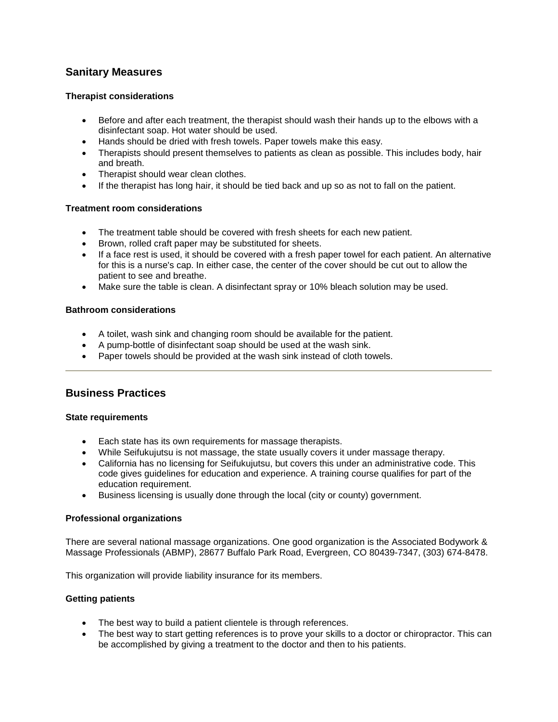# **Sanitary Measures**

## **Therapist considerations**

- Before and after each treatment, the therapist should wash their hands up to the elbows with a disinfectant soap. Hot water should be used.
- Hands should be dried with fresh towels. Paper towels make this easy.
- Therapists should present themselves to patients as clean as possible. This includes body, hair and breath.
- Therapist should wear clean clothes.
- If the therapist has long hair, it should be tied back and up so as not to fall on the patient.

### **Treatment room considerations**

- The treatment table should be covered with fresh sheets for each new patient.
- Brown, rolled craft paper may be substituted for sheets.
- If a face rest is used, it should be covered with a fresh paper towel for each patient. An alternative for this is a nurse's cap. In either case, the center of the cover should be cut out to allow the patient to see and breathe.
- Make sure the table is clean. A disinfectant spray or 10% bleach solution may be used.

### **Bathroom considerations**

- A toilet, wash sink and changing room should be available for the patient.
- A pump-bottle of disinfectant soap should be used at the wash sink.
- Paper towels should be provided at the wash sink instead of cloth towels.

# **Business Practices**

### **State requirements**

- **Each state has its own requirements for massage therapists.**
- While Seifukujutsu is not massage, the state usually covers it under massage therapy.
- California has no licensing for Seifukujutsu, but covers this under an administrative code. This code gives guidelines for education and experience. A training course qualifies for part of the education requirement.
- Business licensing is usually done through the local (city or county) government.

### **Professional organizations**

There are several national massage organizations. One good organization is the Associated Bodywork & Massage Professionals (ABMP), 28677 Buffalo Park Road, Evergreen, CO 80439-7347, (303) 674-8478.

This organization will provide liability insurance for its members.

## **Getting patients**

- The best way to build a patient clientele is through references.
- The best way to start getting references is to prove your skills to a doctor or chiropractor. This can be accomplished by giving a treatment to the doctor and then to his patients.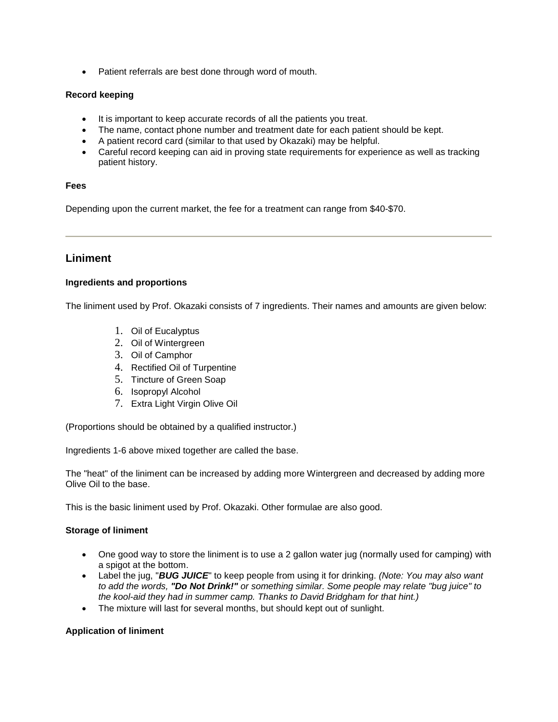• Patient referrals are best done through word of mouth.

### **Record keeping**

- It is important to keep accurate records of all the patients you treat.
- The name, contact phone number and treatment date for each patient should be kept.
- A patient record card (similar to that used by Okazaki) may be helpful.
- Careful record keeping can aid in proving state requirements for experience as well as tracking patient history.

### **Fees**

Depending upon the current market, the fee for a treatment can range from \$40-\$70.

# **Liniment**

### **Ingredients and proportions**

The liniment used by Prof. Okazaki consists of 7 ingredients. Their names and amounts are given below:

- 1. Oil of Eucalyptus
- 2. Oil of Wintergreen
- 3. Oil of Camphor
- 4. Rectified Oil of Turpentine
- 5. Tincture of Green Soap
- 6. Isopropyl Alcohol
- 7. Extra Light Virgin Olive Oil

(Proportions should be obtained by a qualified instructor.)

Ingredients 1-6 above mixed together are called the base.

The "heat" of the liniment can be increased by adding more Wintergreen and decreased by adding more Olive Oil to the base.

This is the basic liniment used by Prof. Okazaki. Other formulae are also good.

## **Storage of liniment**

- One good way to store the liniment is to use a 2 gallon water jug (normally used for camping) with a spigot at the bottom.
- Label the jug, "*BUG JUICE*" to keep people from using it for drinking. *(Note: You may also want to add the words, "Do Not Drink!" or something similar. Some people may relate "bug juice" to the kool-aid they had in summer camp. Thanks to David Bridgham for that hint.)*
- The mixture will last for several months, but should kept out of sunlight.

### **Application of liniment**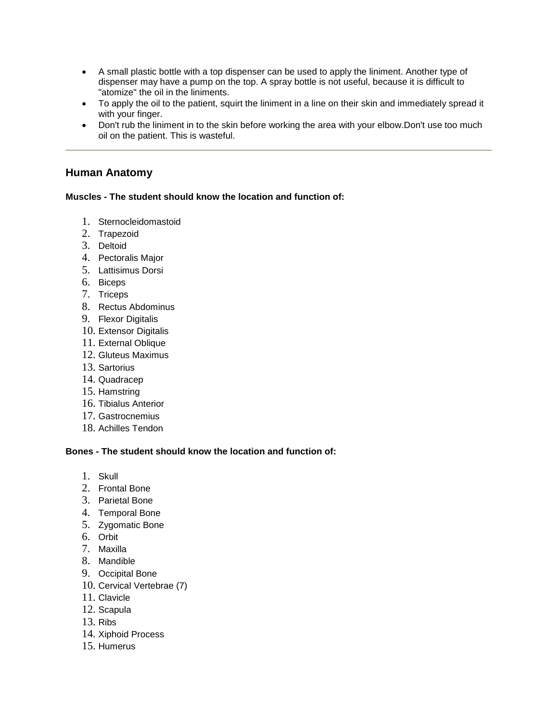- A small plastic bottle with a top dispenser can be used to apply the liniment. Another type of dispenser may have a pump on the top. A spray bottle is not useful, because it is difficult to "atomize" the oil in the liniments.
- To apply the oil to the patient, squirt the liniment in a line on their skin and immediately spread it with your finger.
- Don't rub the liniment in to the skin before working the area with your elbow.Don't use too much oil on the patient. This is wasteful.

# **Human Anatomy**

## **Muscles - The student should know the location and function of:**

- 1. Sternocleidomastoid
- 2. Trapezoid
- 3. Deltoid
- 4. Pectoralis Major
- 5. Lattisimus Dorsi
- 6. Biceps
- 7. Triceps
- 8. Rectus Abdominus
- 9. Flexor Digitalis
- 10. Extensor Digitalis
- 11. External Oblique
- 12. Gluteus Maximus
- 13. Sartorius
- 14. Quadracep
- 15. Hamstring
- 16. Tibialus Anterior
- 17. Gastrocnemius
- 18. Achilles Tendon

### **Bones - The student should know the location and function of:**

- 1. Skull
- 2. Frontal Bone
- 3. Parietal Bone
- 4. Temporal Bone
- 5. Zygomatic Bone
- 6. Orbit
- 7. Maxilla
- 8. Mandible
- 9. Occipital Bone
- 10. Cervical Vertebrae (7)
- 11. Clavicle
- 12. Scapula
- 13. Ribs
- 14. Xiphoid Process
- 15. Humerus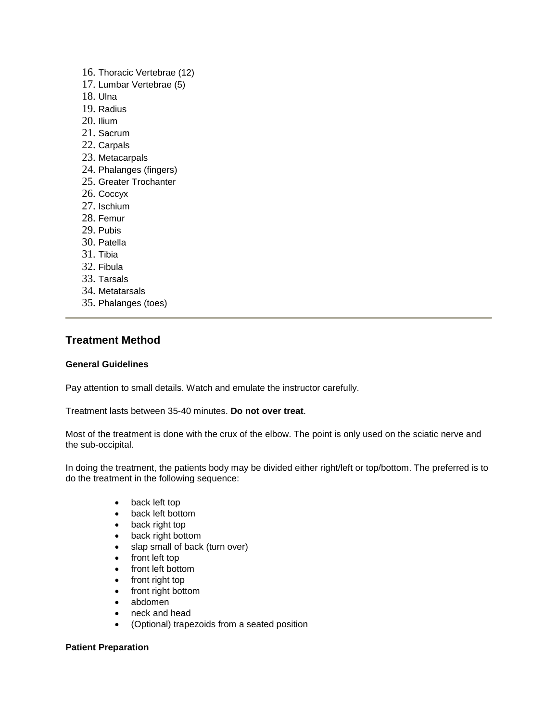- 16. Thoracic Vertebrae (12)
- 17. Lumbar Vertebrae (5)
- 18. Ulna
- 19. Radius
- 20. Ilium
- 21. Sacrum
- 22. Carpals
- 23. Metacarpals
- 24. Phalanges (fingers)
- 25. Greater Trochanter
- 26. Coccyx
- 27. Ischium
- 28. Femur
- 29. Pubis
- 30. Patella
- 31. Tibia
- 32. Fibula
- 33. Tarsals
- 34. Metatarsals
- 35. Phalanges (toes)

# **Treatment Method**

# **General Guidelines**

Pay attention to small details. Watch and emulate the instructor carefully.

Treatment lasts between 35-40 minutes. **Do not over treat**.

Most of the treatment is done with the crux of the elbow. The point is only used on the sciatic nerve and the sub-occipital.

In doing the treatment, the patients body may be divided either right/left or top/bottom. The preferred is to do the treatment in the following sequence:

- back left top
- back left bottom
- back right top
- back right bottom
- slap small of back (turn over)
- front left top
- front left bottom
- front right top
- front right bottom
- abdomen
- neck and head
- (Optional) trapezoids from a seated position

### **Patient Preparation**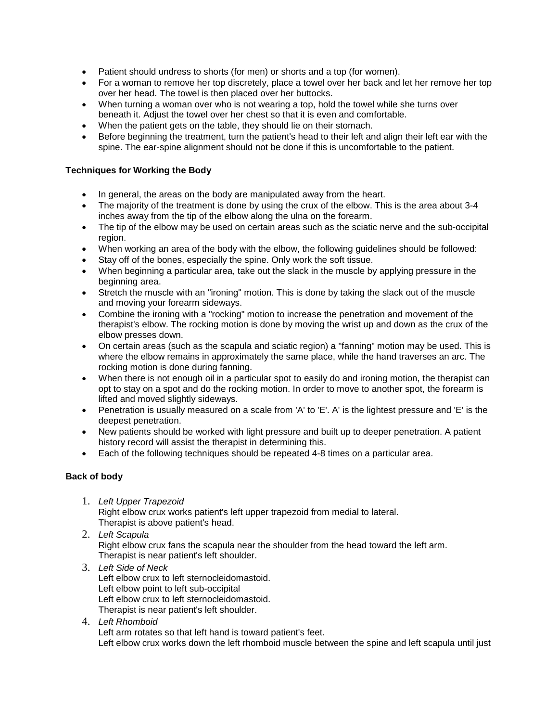- Patient should undress to shorts (for men) or shorts and a top (for women).
- For a woman to remove her top discretely, place a towel over her back and let her remove her top over her head. The towel is then placed over her buttocks.
- When turning a woman over who is not wearing a top, hold the towel while she turns over beneath it. Adjust the towel over her chest so that it is even and comfortable.
- When the patient gets on the table, they should lie on their stomach.
- Before beginning the treatment, turn the patient's head to their left and align their left ear with the spine. The ear-spine alignment should not be done if this is uncomfortable to the patient.

# **Techniques for Working the Body**

- In general, the areas on the body are manipulated away from the heart.
- The majority of the treatment is done by using the crux of the elbow. This is the area about 3-4 inches away from the tip of the elbow along the ulna on the forearm.
- The tip of the elbow may be used on certain areas such as the sciatic nerve and the sub-occipital region.
- When working an area of the body with the elbow, the following guidelines should be followed:
- Stay off of the bones, especially the spine. Only work the soft tissue.
- When beginning a particular area, take out the slack in the muscle by applying pressure in the beginning area.
- Stretch the muscle with an "ironing" motion. This is done by taking the slack out of the muscle and moving your forearm sideways.
- Combine the ironing with a "rocking" motion to increase the penetration and movement of the therapist's elbow. The rocking motion is done by moving the wrist up and down as the crux of the elbow presses down.
- On certain areas (such as the scapula and sciatic region) a "fanning" motion may be used. This is where the elbow remains in approximately the same place, while the hand traverses an arc. The rocking motion is done during fanning.
- When there is not enough oil in a particular spot to easily do and ironing motion, the therapist can opt to stay on a spot and do the rocking motion. In order to move to another spot, the forearm is lifted and moved slightly sideways.
- Penetration is usually measured on a scale from 'A' to 'E'. A' is the lightest pressure and 'E' is the deepest penetration.
- New patients should be worked with light pressure and built up to deeper penetration. A patient history record will assist the therapist in determining this.
- Each of the following techniques should be repeated 4-8 times on a particular area.

## **Back of body**

- 1. *Left Upper Trapezoid* Right elbow crux works patient's left upper trapezoid from medial to lateral. Therapist is above patient's head.
- 2. *Left Scapula* Right elbow crux fans the scapula near the shoulder from the head toward the left arm. Therapist is near patient's left shoulder.
- 3. *Left Side of Neck* Left elbow crux to left sternocleidomastoid. Left elbow point to left sub-occipital Left elbow crux to left sternocleidomastoid. Therapist is near patient's left shoulder.
- 4. *Left Rhomboid* Left arm rotates so that left hand is toward patient's feet. Left elbow crux works down the left rhomboid muscle between the spine and left scapula until just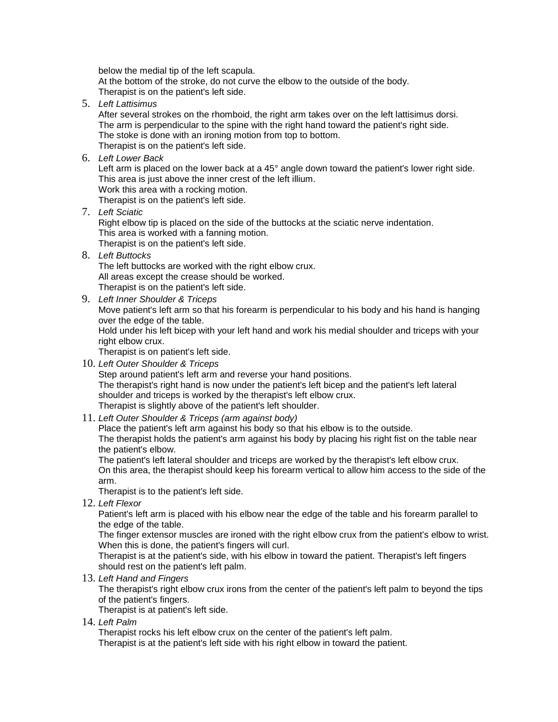below the medial tip of the left scapula. At the bottom of the stroke, do not curve the elbow to the outside of the body. Therapist is on the patient's left side.

5. *Left Lattisimus*

After several strokes on the rhomboid, the right arm takes over on the left lattisimus dorsi. The arm is perpendicular to the spine with the right hand toward the patient's right side. The stoke is done with an ironing motion from top to bottom. Therapist is on the patient's left side.

6. *Left Lower Back*

Left arm is placed on the lower back at a 45° angle down toward the patient's lower right side. This area is just above the inner crest of the left illium.

Work this area with a rocking motion.

Therapist is on the patient's left side.

7. *Left Sciatic*

Right elbow tip is placed on the side of the buttocks at the sciatic nerve indentation. This area is worked with a fanning motion. Therapist is on the patient's left side.

8. *Left Buttocks*

The left buttocks are worked with the right elbow crux. All areas except the crease should be worked. Therapist is on the patient's left side.

9. *Left Inner Shoulder & Triceps*

Move patient's left arm so that his forearm is perpendicular to his body and his hand is hanging over the edge of the table.

Hold under his left bicep with your left hand and work his medial shoulder and triceps with your right elbow crux.

Therapist is on patient's left side.

10. *Left Outer Shoulder & Triceps*

Step around patient's left arm and reverse your hand positions. The therapist's right hand is now under the patient's left bicep and the patient's left lateral shoulder and triceps is worked by the therapist's left elbow crux. Therapist is slightly above of the patient's left shoulder.

11. *Left Outer Shoulder & Triceps (arm against body)*

Place the patient's left arm against his body so that his elbow is to the outside.

The therapist holds the patient's arm against his body by placing his right fist on the table near the patient's elbow.

The patient's left lateral shoulder and triceps are worked by the therapist's left elbow crux. On this area, the therapist should keep his forearm vertical to allow him access to the side of the arm.

Therapist is to the patient's left side.

12. *Left Flexor*

Patient's left arm is placed with his elbow near the edge of the table and his forearm parallel to the edge of the table.

The finger extensor muscles are ironed with the right elbow crux from the patient's elbow to wrist. When this is done, the patient's fingers will curl.

Therapist is at the patient's side, with his elbow in toward the patient. Therapist's left fingers should rest on the patient's left palm.

13. *Left Hand and Fingers*

The therapist's right elbow crux irons from the center of the patient's left palm to beyond the tips of the patient's fingers.

Therapist is at patient's left side.

14. *Left Palm*

Therapist rocks his left elbow crux on the center of the patient's left palm.

Therapist is at the patient's left side with his right elbow in toward the patient.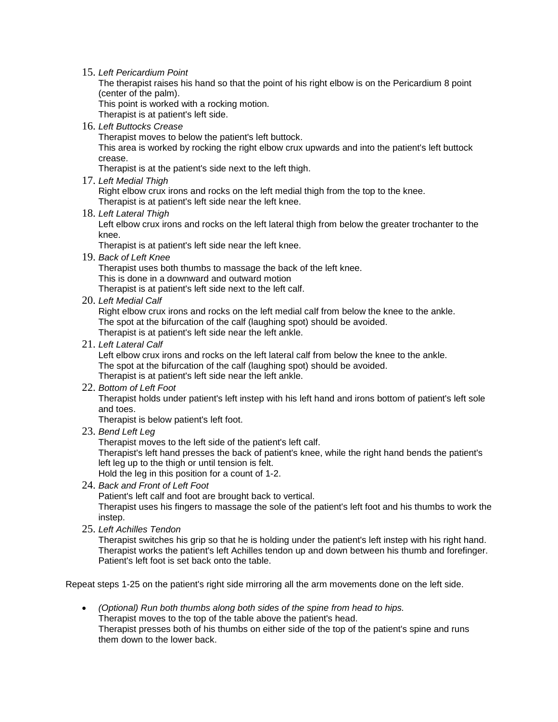15. *Left Pericardium Point*

The therapist raises his hand so that the point of his right elbow is on the Pericardium 8 point (center of the palm).

This point is worked with a rocking motion.

Therapist is at patient's left side.

16. *Left Buttocks Crease*

Therapist moves to below the patient's left buttock.

This area is worked by rocking the right elbow crux upwards and into the patient's left buttock crease.

Therapist is at the patient's side next to the left thigh.

17. *Left Medial Thigh*

Right elbow crux irons and rocks on the left medial thigh from the top to the knee. Therapist is at patient's left side near the left knee.

18. *Left Lateral Thigh*

Left elbow crux irons and rocks on the left lateral thigh from below the greater trochanter to the knee.

Therapist is at patient's left side near the left knee.

19. *Back of Left Knee*

Therapist uses both thumbs to massage the back of the left knee. This is done in a downward and outward motion Therapist is at patient's left side next to the left calf.

20. *Left Medial Calf*

Right elbow crux irons and rocks on the left medial calf from below the knee to the ankle. The spot at the bifurcation of the calf (laughing spot) should be avoided. Therapist is at patient's left side near the left ankle.

21. *Left Lateral Calf*

Left elbow crux irons and rocks on the left lateral calf from below the knee to the ankle. The spot at the bifurcation of the calf (laughing spot) should be avoided. Therapist is at patient's left side near the left ankle.

- 
- 22. *Bottom of Left Foot*

Therapist holds under patient's left instep with his left hand and irons bottom of patient's left sole and toes.

Therapist is below patient's left foot.

23. *Bend Left Leg*

Therapist moves to the left side of the patient's left calf.

Therapist's left hand presses the back of patient's knee, while the right hand bends the patient's left leg up to the thigh or until tension is felt.

Hold the leg in this position for a count of 1-2.

24. *Back and Front of Left Foot*

Patient's left calf and foot are brought back to vertical.

Therapist uses his fingers to massage the sole of the patient's left foot and his thumbs to work the instep.

25. *Left Achilles Tendon*

Therapist switches his grip so that he is holding under the patient's left instep with his right hand. Therapist works the patient's left Achilles tendon up and down between his thumb and forefinger. Patient's left foot is set back onto the table.

Repeat steps 1-25 on the patient's right side mirroring all the arm movements done on the left side.

 *(Optional) Run both thumbs along both sides of the spine from head to hips.* Therapist moves to the top of the table above the patient's head. Therapist presses both of his thumbs on either side of the top of the patient's spine and runs them down to the lower back.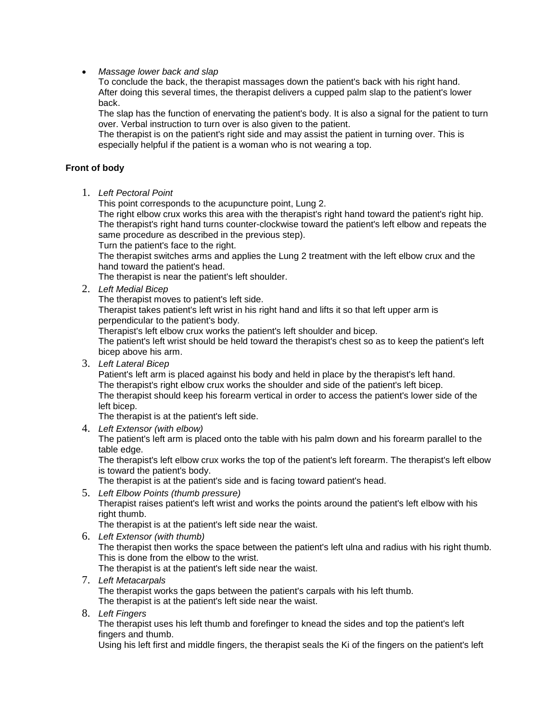### *Massage lower back and slap*

To conclude the back, the therapist massages down the patient's back with his right hand. After doing this several times, the therapist delivers a cupped palm slap to the patient's lower back.

The slap has the function of enervating the patient's body. It is also a signal for the patient to turn over. Verbal instruction to turn over is also given to the patient.

The therapist is on the patient's right side and may assist the patient in turning over. This is especially helpful if the patient is a woman who is not wearing a top.

### **Front of body**

1. *Left Pectoral Point*

This point corresponds to the acupuncture point, Lung 2.

The right elbow crux works this area with the therapist's right hand toward the patient's right hip. The therapist's right hand turns counter-clockwise toward the patient's left elbow and repeats the same procedure as described in the previous step).

Turn the patient's face to the right.

The therapist switches arms and applies the Lung 2 treatment with the left elbow crux and the hand toward the patient's head.

The therapist is near the patient's left shoulder.

2. *Left Medial Bicep*

The therapist moves to patient's left side.

Therapist takes patient's left wrist in his right hand and lifts it so that left upper arm is perpendicular to the patient's body.

Therapist's left elbow crux works the patient's left shoulder and bicep.

The patient's left wrist should be held toward the therapist's chest so as to keep the patient's left bicep above his arm.

3. *Left Lateral Bicep*

Patient's left arm is placed against his body and held in place by the therapist's left hand. The therapist's right elbow crux works the shoulder and side of the patient's left bicep. The therapist should keep his forearm vertical in order to access the patient's lower side of the left bicep.

The therapist is at the patient's left side.

4. *Left Extensor (with elbow)*

The patient's left arm is placed onto the table with his palm down and his forearm parallel to the table edge.

The therapist's left elbow crux works the top of the patient's left forearm. The therapist's left elbow is toward the patient's body.

The therapist is at the patient's side and is facing toward patient's head.

5. *Left Elbow Points (thumb pressure)* Therapist raises patient's left wrist and works the points around the patient's left elbow with his right thumb.

The therapist is at the patient's left side near the waist.

6. *Left Extensor (with thumb)*

The therapist then works the space between the patient's left ulna and radius with his right thumb. This is done from the elbow to the wrist.

The therapist is at the patient's left side near the waist.

7. *Left Metacarpals*

The therapist works the gaps between the patient's carpals with his left thumb.

The therapist is at the patient's left side near the waist.

8. *Left Fingers*

The therapist uses his left thumb and forefinger to knead the sides and top the patient's left fingers and thumb.

Using his left first and middle fingers, the therapist seals the Ki of the fingers on the patient's left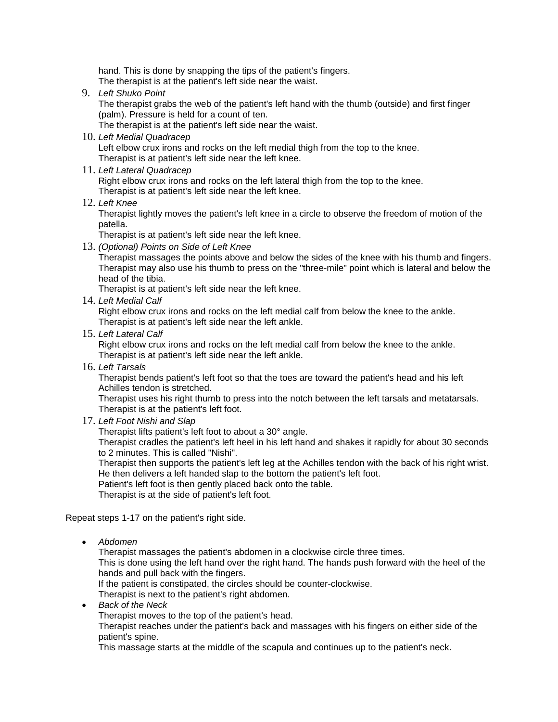hand. This is done by snapping the tips of the patient's fingers. The therapist is at the patient's left side near the waist.

9. *Left Shuko Point*

The therapist grabs the web of the patient's left hand with the thumb (outside) and first finger (palm). Pressure is held for a count of ten.

The therapist is at the patient's left side near the waist.

10. *Left Medial Quadracep*

Left elbow crux irons and rocks on the left medial thigh from the top to the knee. Therapist is at patient's left side near the left knee.

11. *Left Lateral Quadracep*

Right elbow crux irons and rocks on the left lateral thigh from the top to the knee. Therapist is at patient's left side near the left knee.

12. *Left Knee*

Therapist lightly moves the patient's left knee in a circle to observe the freedom of motion of the patella.

Therapist is at patient's left side near the left knee.

13. *(Optional) Points on Side of Left Knee*

Therapist massages the points above and below the sides of the knee with his thumb and fingers. Therapist may also use his thumb to press on the "three-mile" point which is lateral and below the head of the tibia.

Therapist is at patient's left side near the left knee.

14. *Left Medial Calf*

Right elbow crux irons and rocks on the left medial calf from below the knee to the ankle. Therapist is at patient's left side near the left ankle.

15. *Left Lateral Calf*

Right elbow crux irons and rocks on the left medial calf from below the knee to the ankle. Therapist is at patient's left side near the left ankle.

16. *Left Tarsals*

Therapist bends patient's left foot so that the toes are toward the patient's head and his left Achilles tendon is stretched.

Therapist uses his right thumb to press into the notch between the left tarsals and metatarsals. Therapist is at the patient's left foot.

17. *Left Foot Nishi and Slap*

Therapist lifts patient's left foot to about a 30° angle.

Therapist cradles the patient's left heel in his left hand and shakes it rapidly for about 30 seconds to 2 minutes. This is called "Nishi".

Therapist then supports the patient's left leg at the Achilles tendon with the back of his right wrist. He then delivers a left handed slap to the bottom the patient's left foot.

Patient's left foot is then gently placed back onto the table.

Therapist is at the side of patient's left foot.

Repeat steps 1-17 on the patient's right side.

*Abdomen*

Therapist massages the patient's abdomen in a clockwise circle three times.

This is done using the left hand over the right hand. The hands push forward with the heel of the hands and pull back with the fingers.

If the patient is constipated, the circles should be counter-clockwise.

Therapist is next to the patient's right abdomen.

- *Back of the Neck*
	- Therapist moves to the top of the patient's head.

Therapist reaches under the patient's back and massages with his fingers on either side of the patient's spine.

This massage starts at the middle of the scapula and continues up to the patient's neck.